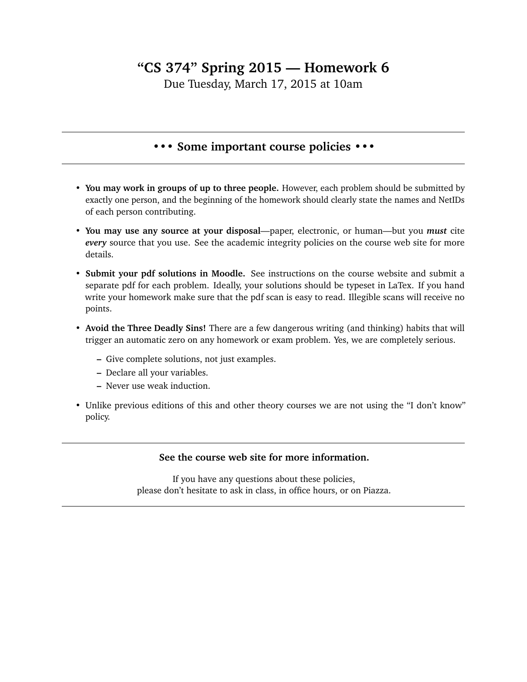## **"CS 374" Spring 2015 — Homework 6**

Due Tuesday, March 17, 2015 at 10am

## **••• Some important course policies •••**

- **You may work in groups of up to three people.** However, each problem should be submitted by exactly one person, and the beginning of the homework should clearly state the names and NetIDs of each person contributing.
- **You may use any source at your disposal**—paper, electronic, or human—but you *must* cite *every* source that you use. See the academic integrity policies on the course web site for more details.
- **Submit your pdf solutions in Moodle.** See instructions on the course website and submit a separate pdf for each problem. Ideally, your solutions should be typeset in LaTex. If you hand write your homework make sure that the pdf scan is easy to read. Illegible scans will receive no points.
- **Avoid the Three Deadly Sins!** There are a few dangerous writing (and thinking) habits that will trigger an automatic zero on any homework or exam problem. Yes, we are completely serious.
	- **–** Give complete solutions, not just examples.
	- **–** Declare all your variables.
	- **–** Never use weak induction.
- Unlike previous editions of this and other theory courses we are not using the "I don't know" policy.

## **See the course web site for more information.**

If you have any questions about these policies, please don't hesitate to ask in class, in office hours, or on Piazza.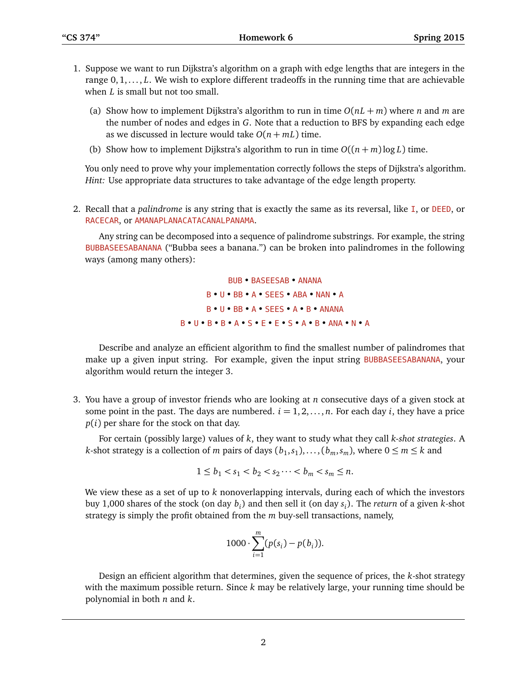- 1. Suppose we want to run Dijkstra's algorithm on a graph with edge lengths that are integers in the range 0,1, ..., *L*. We wish to explore different tradeoffs in the running time that are achievable when *L* is small but not too small.
	- (a) Show how to implement Dijkstra's algorithm to run in time  $O(nL + m)$  where *n* and *m* are the number of nodes and edges in *G*. Note that a reduction to BFS by expanding each edge as we discussed in lecture would take  $O(n + mL)$  time.
	- (b) Show how to implement Dijkstra's algorithm to run in time  $O((n+m)\log L)$  time.

You only need to prove why your implementation correctly follows the steps of Dijkstra's algorithm. *Hint:* Use appropriate data structures to take advantage of the edge length property.

2. Recall that a *palindrome* is any string that is exactly the same as its reversal, like I, or DEED, or RACECAR, or AMANAPLANACATACANALPANAMA.

Any string can be decomposed into a sequence of palindrome substrings. For example, the string BUBBASEESABANANA ("Bubba sees a banana.") can be broken into palindromes in the following ways (among many others):

> BUB • BASEESAB • ANANA B • U • BB • A • SEES • ABA • NAN • A B • U • BB • A • SEES • A • B • ANANA B • U • B • B • A • S • E • E • S • A • B • ANA • N • A

Describe and analyze an efficient algorithm to find the smallest number of palindromes that make up a given input string. For example, given the input string BUBBASEESABANANA, your algorithm would return the integer 3.

3. You have a group of investor friends who are looking at *n* consecutive days of a given stock at some point in the past. The days are numbered.  $i = 1, 2, \ldots, n$ . For each day *i*, they have a price *p*(*i*) per share for the stock on that day.

For certain (possibly large) values of *k*, they want to study what they call *k-shot strategies*. A *k*-shot strategy is a collection of *m* pairs of days  $(b_1, s_1), \ldots, (b_m, s_m)$ , where  $0 \le m \le k$  and

$$
1 \le b_1 < s_1 < b_2 < s_2 \cdots < b_m < s_m \le n.
$$

We view these as a set of up to *k* nonoverlapping intervals, during each of which the investors buy 1,000 shares of the stock (on day *b<sup>i</sup>* ) and then sell it (on day *s<sup>i</sup>* ). The *return* of a given *k*-shot strategy is simply the profit obtained from the *m* buy-sell transactions, namely,

$$
1000 \cdot \sum_{i=1}^{m} (p(s_i) - p(b_i)).
$$

Design an efficient algorithm that determines, given the sequence of prices, the *k*-shot strategy with the maximum possible return. Since *k* may be relatively large, your running time should be polynomial in both *n* and *k*.